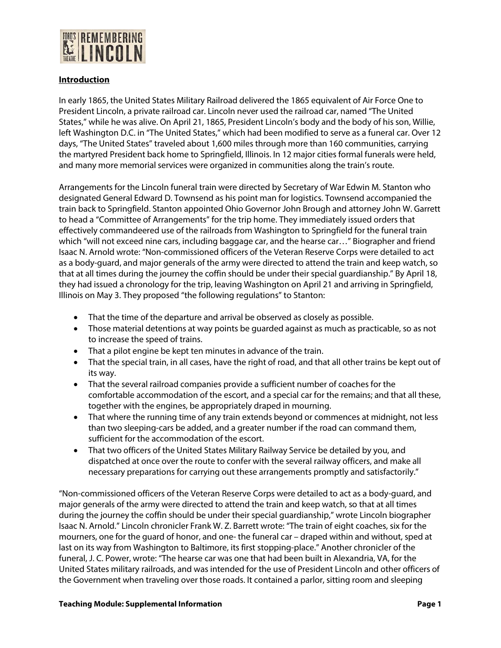

## **Introduction**

In early 1865, the United States Military Railroad delivered the 1865 equivalent of Air Force One to President Lincoln, a private railroad car. Lincoln never used the railroad car, named "The United States," while he was alive. On April 21, 1865, President Lincoln's body and the body of his son, Willie, left Washington D.C. in "The United States," which had been modified to serve as a funeral car. Over 12 days, "The United States" traveled about 1,600 miles through more than 160 communities, carrying the martyred President back home to Springfield, Illinois. In 12 major cities formal funerals were held, and many more memorial services were organized in communities along the train's route.

Arrangements for the Lincoln funeral train were directed by Secretary of War Edwin M. Stanton who designated General Edward D. Townsend as his point man for logistics. Townsend accompanied the train back to Springfield. Stanton appointed Ohio Governor John Brough and attorney John W. Garrett to head a "Committee of Arrangements" for the trip home. They immediately issued orders that effectively commandeered use of the railroads from Washington to Springfield for the funeral train which "will not exceed nine cars, including baggage car, and the hearse car…" Biographer and friend Isaac N. Arnold wrote: "Non-commissioned officers of the Veteran Reserve Corps were detailed to act as a body-guard, and major generals of the army were directed to attend the train and keep watch, so that at all times during the journey the coffin should be under their special guardianship." By April 18, they had issued a chronology for the trip, leaving Washington on April 21 and arriving in Springfield, Illinois on May 3. They proposed "the following regulations" to Stanton:

- That the time of the departure and arrival be observed as closely as possible.
- Those material detentions at way points be quarded against as much as practicable, so as not to increase the speed of trains.
- That a pilot engine be kept ten minutes in advance of the train.
- That the special train, in all cases, have the right of road, and that all other trains be kept out of its way.
- That the several railroad companies provide a sufficient number of coaches for the comfortable accommodation of the escort, and a special car for the remains; and that all these, together with the engines, be appropriately draped in mourning.
- That where the running time of any train extends beyond or commences at midnight, not less than two sleeping-cars be added, and a greater number if the road can command them, sufficient for the accommodation of the escort.
- That two officers of the United States Military Railway Service be detailed by you, and dispatched at once over the route to confer with the several railway officers, and make all necessary preparations for carrying out these arrangements promptly and satisfactorily."

"Non-commissioned officers of the Veteran Reserve Corps were detailed to act as a body-guard, and major generals of the army were directed to attend the train and keep watch, so that at all times during the journey the coffin should be under their special guardianship," wrote Lincoln biographer Isaac N. Arnold." Lincoln chronicler Frank W. Z. Barrett wrote: "The train of eight coaches, six for the mourners, one for the guard of honor, and one- the funeral car – draped within and without, sped at last on its way from Washington to Baltimore, its first stopping-place." Another chronicler of the funeral, J. C. Power, wrote: "The hearse car was one that had been built in Alexandria, VA, for the United States military railroads, and was intended for the use of President Lincoln and other officers of the Government when traveling over those roads. It contained a parlor, sitting room and sleeping